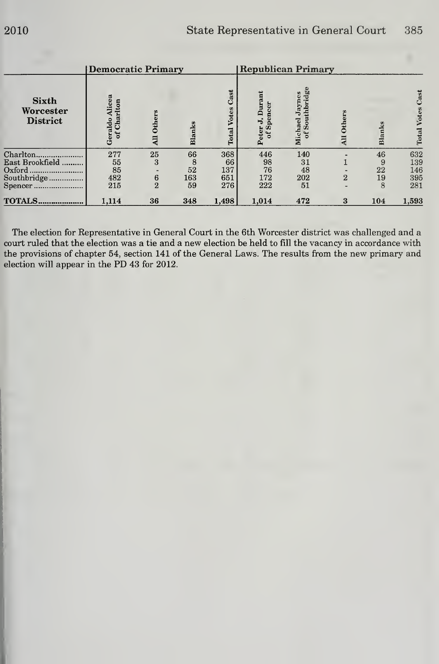|                                              | Democratic Primary               |                     |        |                               | <b>Republican Primary</b>                    |                                                  |                             |        |                        |
|----------------------------------------------|----------------------------------|---------------------|--------|-------------------------------|----------------------------------------------|--------------------------------------------------|-----------------------------|--------|------------------------|
| <b>Sixth</b><br>Worcester<br><b>District</b> | Alicea<br>of Charlton<br>Geraldo | <b>Others</b><br>ER | Blanks | Cast<br>Votes<br><b>Total</b> | Durant<br>Spencer<br>5.<br><b>Peter</b><br>F | idge<br>aynes<br>thbi<br>ъ.<br>Michael<br>of Sou | <b>Others</b><br><b>All</b> | Blanks | Cast<br>Votes<br>Total |
| Charlton                                     | 277                              | 25                  | 66     | 368                           | 446                                          | 140                                              |                             | 46     | 632                    |
| East Brookfield                              | 55                               | 3                   | 8      | 66                            | 98                                           | 31                                               |                             | 9      | 139                    |
| Oxford                                       | 85                               |                     | 52     | 137                           | 76                                           | 48                                               |                             | 22     | 146                    |
| Southbridge                                  | 482                              | 6                   | 163    | 651                           | 172                                          | 202                                              | $\overline{2}$              | 19     | 395                    |
| Spencer                                      | 215                              | $\overline{2}$      | 59     | 276                           | 222                                          | 51                                               | -                           | 8      | 281                    |
| <b>TOTALS</b>                                | 1,114                            | 36                  | 348    | 1,498                         | 1,014                                        | 472                                              | 3                           | 104    | 1,593                  |

The election for Representative in General Court in the 6th Worcester district was challenged and a court ruled that the election was a tie and a new election be held to fill the vacancy in accordance with the provisions of chapter 54, section 141 of the General Laws. The results from the new primary and election will appear in the PD 43 for 2012.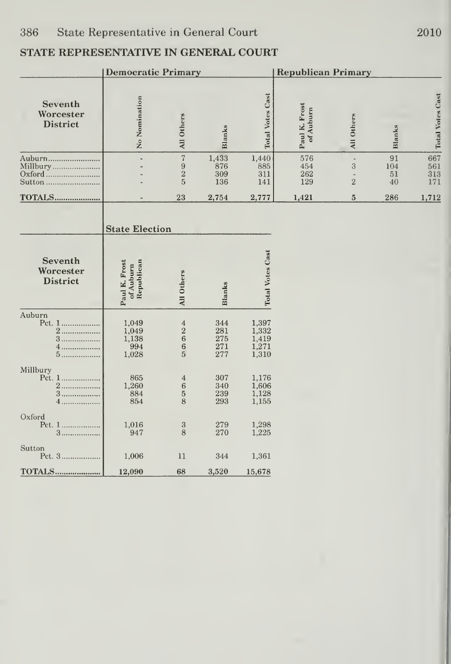|                                         | <b>Democratic Primary</b>                |                                                          |                                 |                                           | <b>Republican Primary</b>  |                                            |                       |                          |  |  |
|-----------------------------------------|------------------------------------------|----------------------------------------------------------|---------------------------------|-------------------------------------------|----------------------------|--------------------------------------------|-----------------------|--------------------------|--|--|
| Seventh<br>Worcester<br><b>District</b> | No Nomination                            | All Others                                               | <b>Blanks</b>                   | <b>Total Votes Cast</b>                   | Paul K. Frost<br>of Auburn | All Others                                 | Blanks                | <b>Total Votes Cast</b>  |  |  |
| Auburn<br>Millbury<br>Sutton            |                                          | $\overline{7}$<br>$\boldsymbol{9}$<br>$\frac{2}{5}$      | 1,433<br>876<br>309<br>136      | 1,440<br>885<br>311<br>141                | 576<br>454<br>262<br>129   | ÷,<br>3<br>$\frac{1}{2}$<br>$\overline{2}$ | 91<br>104<br>51<br>40 | 667<br>561<br>313<br>171 |  |  |
| <b>TOTALS</b>                           |                                          | 23                                                       | 2,754                           | 2,777                                     | 1,421                      | $5\phantom{.0}$                            | 286                   | 1,712                    |  |  |
|                                         | <b>State Election</b>                    |                                                          |                                 |                                           |                            |                                            |                       |                          |  |  |
| Seventh<br>Worcester<br><b>District</b> | Republican<br>Paul K. Frost<br>of Auburn | All Others                                               | Blanks                          | <b>Total Votes Cast</b>                   |                            |                                            |                       |                          |  |  |
| Auburn<br>2.<br>4<br>5                  | 1,049<br>1,049<br>1,138<br>994<br>1,028  | $\overline{4}$<br>$\overline{\mathbf{c}}$<br>$^6_6$<br>5 | 344<br>281<br>275<br>271<br>277 | 1,397<br>1,332<br>1,419<br>1,271<br>1,310 |                            |                                            |                       |                          |  |  |
| Millbury<br>Pct. 1<br>2.<br>3.<br>4.    | 865<br>1,260<br>884<br>854               | $\overline{4}$<br>$\boldsymbol{6}$<br>$\frac{5}{8}$      | 307<br>340<br>239<br>293        | 1,176<br>1,606<br>1,128<br>1,155          |                            |                                            |                       |                          |  |  |
| Oxford<br>Pct. 1<br>3                   | 1,016<br>947                             | $\rm 3$<br>8                                             | 279<br>270                      | 1,298<br>1,225                            |                            |                                            |                       |                          |  |  |
| Sutton<br>Pct. 3                        | 1,006                                    | 11                                                       | 344                             | 1,361                                     |                            |                                            |                       |                          |  |  |
| TOTALS                                  | 12,090                                   | 68                                                       | 3,520                           | 15,678                                    |                            |                                            |                       |                          |  |  |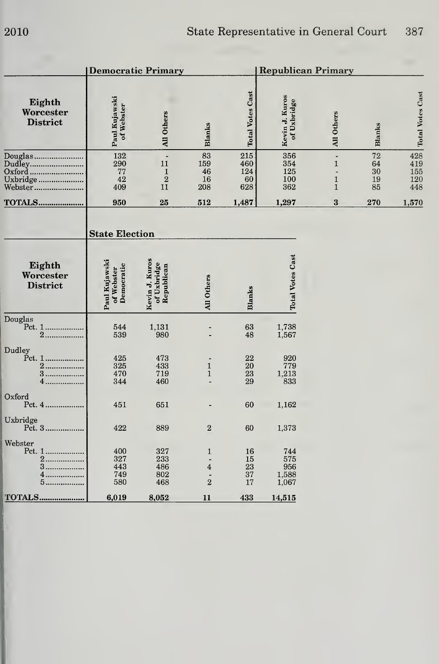|                                                    |                                           | <b>Democratic Primary</b>                                    |                                                      | <b>Republican Primary</b>      |                                     |                                                                                 |                            |                                              |
|----------------------------------------------------|-------------------------------------------|--------------------------------------------------------------|------------------------------------------------------|--------------------------------|-------------------------------------|---------------------------------------------------------------------------------|----------------------------|----------------------------------------------|
| Eighth<br>Worcester<br><b>District</b>             | Paul Kujawski<br>of Webster               | All Others                                                   | <b>Blanks</b>                                        | <b>Total Votes Cast</b>        | Kevin J. Kuros<br>of Uxbridge       | All Others                                                                      | Blanks                     | <b>Total Votes Cast</b>                      |
| Douglas<br>Dudley<br>Oxford<br>Uxbridge<br>Webster | 132<br>290<br>77<br>42<br>409             | $\overline{a}$<br>11<br>$\mathbf{1}$<br>$\overline{2}$<br>11 | 83<br>159<br>46<br>16<br>208                         | 215<br>460<br>124<br>60<br>628 | 356<br>354<br>125<br>100<br>362     | $\overline{a}$<br>$\mathbf{1}$<br>$\overline{a}$<br>$\mathbf 1$<br>$\mathbf{1}$ | 72<br>64<br>30<br>19<br>85 | $\overline{428}$<br>419<br>155<br>120<br>448 |
| <b>TOTALS</b>                                      | 950                                       | 25                                                           | 512                                                  | 1,487                          | 1,297                               | $\bf{3}$                                                                        | 270                        | 1,570                                        |
|                                                    | <b>State Election</b>                     |                                                              |                                                      |                                |                                     |                                                                                 |                            |                                              |
| Eighth<br>Worcester<br><b>District</b>             | Paul Kujawski<br>Democratic<br>of Webster | Kevin J. Kuros<br>of Uxbridge<br>Republican                  | All Others                                           | <b>Blanks</b>                  | <b>Total Votes Cast</b>             |                                                                                 |                            |                                              |
| Douglas<br>Pct. 1<br>2.                            | 544<br>539                                | 1,131<br>980                                                 |                                                      | 63<br>48                       | 1,738<br>1,567                      |                                                                                 |                            |                                              |
| Dudley<br>Pct. 1<br>2.<br>3<br>4                   | 425<br>325<br>470<br>344                  | 473<br>433<br>719<br>460                                     | $\mathbf{1}$<br>$\mathbf{1}$                         | 22<br>20<br>23<br>29           | 920<br>779<br>1,213<br>833          |                                                                                 |                            |                                              |
| Oxford                                             | 451                                       | 651                                                          |                                                      | 60                             | 1,162                               |                                                                                 |                            |                                              |
| Uxbridge<br>Pct. 3                                 | 422                                       | 889                                                          | $\overline{2}$                                       | 60                             | 1,373                               |                                                                                 |                            |                                              |
| Webster<br>2.<br>3<br>4.<br>5.                     | 400<br>327<br>443<br>749<br>580           | 327<br>233<br>486<br>802<br>468                              | 1<br>÷.<br>$\overline{\mathbf{4}}$<br>$\overline{2}$ | 16<br>15<br>23<br>37<br>17     | 744<br>575<br>956<br>1,588<br>1,067 |                                                                                 |                            |                                              |
| <b>TOTALS</b>                                      | 6,019                                     | 8,052                                                        | 11                                                   | 433                            | 14,515                              |                                                                                 |                            |                                              |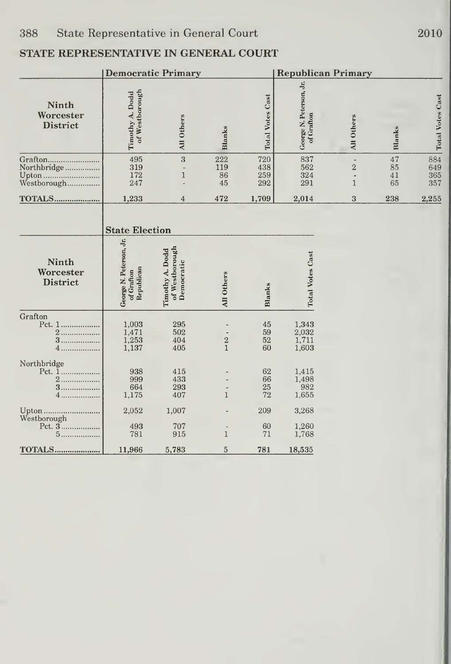|                                                | <b>Democratic Primary</b>                                                    |                                                 |                               |                          | <b>Republican Primary</b>             |                                            |                      |                          |  |
|------------------------------------------------|------------------------------------------------------------------------------|-------------------------------------------------|-------------------------------|--------------------------|---------------------------------------|--------------------------------------------|----------------------|--------------------------|--|
| Ninth<br>Worcester<br><b>District</b>          | of Westborough<br>Timothy A. Dodd                                            | All Others                                      | Blanks                        | <b>Total Votes Cast</b>  | George N. Peterson, Jr.<br>of Grafton | All Others                                 | Blanks               | <b>Total Votes Cast</b>  |  |
| Grafton<br>Northbridge<br>Upton<br>Westborough | 495<br>319<br>172<br>247                                                     | 3<br>$\mathbf{1}$                               | 222<br>119<br>86<br>45        | 720<br>438<br>259<br>292 | 837<br>562<br>324<br>291              | i.<br>$\overline{2}$<br>ä,<br>$\mathbf{1}$ | 47<br>85<br>41<br>65 | 884<br>649<br>365<br>357 |  |
| <b>TOTALS</b>                                  | 1,233                                                                        | 4                                               | 472                           | 1,709                    | 2,014                                 | 3                                          | 238                  | 2,255                    |  |
| Ninth<br>Worcester<br><b>District</b>          | <b>State Election</b><br>George N. Peterson, Jr.<br>Republican<br>of Grafton | of Westborough<br>Timothy A. Dodd<br>Democratic | All Others                    | <b>Blanks</b>            | <b>Total Votes Cast</b>               |                                            |                      |                          |  |
| Grafton<br>Pct. 1<br>$\overline{2}$<br>3<br>4. | 1,003<br>1,471<br>1,253<br>1,137                                             | 295<br>502<br>404<br>405                        | $\frac{2}{1}$                 | 45<br>59<br>52<br>60     | 1,343<br>2,032<br>1,711<br>1,603      |                                            |                      |                          |  |
| Northbridge<br>3.<br>4                         | 938<br>999<br>664<br>1,175                                                   | 415<br>433<br>293<br>407                        | $\mathbf{1}$                  | 62<br>66<br>25<br>72     | 1,415<br>1,498<br>982<br>1,655        |                                            |                      |                          |  |
| Upton<br>Westborough<br>$5$                    | 2,052<br>493<br>781                                                          | 1,007<br>707<br>915                             | $\frac{1}{2}$<br>$\mathbf{1}$ | 209<br>60<br>71          | 3,268<br>1,260<br>1,768               |                                            |                      |                          |  |
| <b>TOTALS</b>                                  | 11,966                                                                       | 5,783                                           | $\overline{5}$                | 781                      | 18,535                                |                                            |                      |                          |  |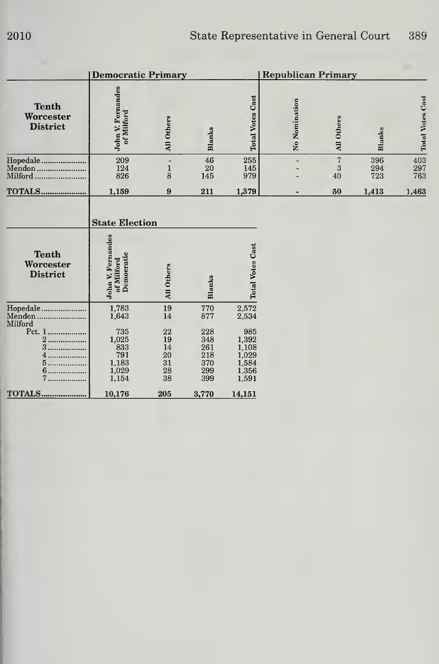|                                                                                        | <b>Democratic Primary</b>                                                                                |                                                    |                                                             |                                                                             | <b>Republican Primary</b> |                           |                   |                         |
|----------------------------------------------------------------------------------------|----------------------------------------------------------------------------------------------------------|----------------------------------------------------|-------------------------------------------------------------|-----------------------------------------------------------------------------|---------------------------|---------------------------|-------------------|-------------------------|
| <b>Tenth</b><br>Worcester<br><b>District</b>                                           | John V. Fernandes<br>of Milford                                                                          | All Others                                         | <b>Blanks</b>                                               | <b>Total Votes Cast</b>                                                     | No Nomination             | All Others                | <b>Blanks</b>     | <b>Total Votes Cast</b> |
| Hopedale<br>Mendon<br>Milford                                                          | 209<br>124<br>826                                                                                        | $\mathbf{1}$<br>8                                  | 46<br>20<br>145                                             | 255<br>145<br>979                                                           |                           | $\overline{7}$<br>3<br>40 | 396<br>294<br>723 | 403<br>297<br>763       |
| <b>TOTALS</b>                                                                          | 1,159                                                                                                    | 9                                                  | 211                                                         | 1,379                                                                       |                           | 50                        | 1,413             | 1,463                   |
| <b>Tenth</b><br>Worcester<br><b>District</b>                                           | <b>State Election</b><br>John V. Fernandes<br>Democratic<br>of Milford                                   | All Others                                         | <b>Blanks</b>                                               | <b>Total Votes Cast</b>                                                     |                           |                           |                   |                         |
| Hopedale<br>Mendon<br>Milford<br>Pct. 1<br>$\overline{2}$<br><br>3<br>.<br>5<br>.<br>7 | 1,783<br>1,643<br>735<br>$\begin{array}{c} 1{,}025 \\ 833 \end{array}$<br>791<br>1,183<br>1,029<br>1,154 | 19<br>14<br>22<br>19<br>14<br>20<br>31<br>28<br>38 | 770<br>877<br>228<br>348<br>261<br>218<br>370<br>299<br>399 | 2,572<br>2,534<br>985<br>1,392<br>1,108<br>1,029<br>1,584<br>1,356<br>1,591 |                           |                           |                   |                         |
| <b>TOTALS</b>                                                                          | 10,176                                                                                                   | 205                                                | 3,770                                                       | 14,151                                                                      |                           |                           |                   |                         |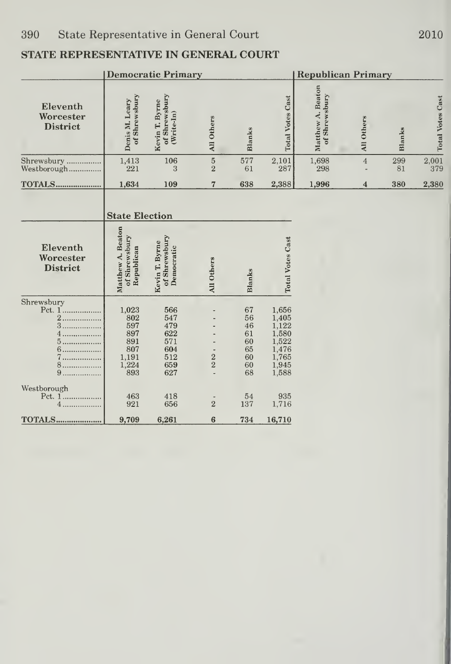|                                                                    |                                                                          | <b>Democratic Primary</b>                                   |                           |                                                    |                                                                               | <b>Republican Primary</b>          |                |           |                                               |  |
|--------------------------------------------------------------------|--------------------------------------------------------------------------|-------------------------------------------------------------|---------------------------|----------------------------------------------------|-------------------------------------------------------------------------------|------------------------------------|----------------|-----------|-----------------------------------------------|--|
| Eleventh<br>Worcester<br><b>District</b>                           | of Shrewsbury<br>Denis M. Leary                                          | of Shrewsbury<br>Kevin T. Byrne<br>$(Write-In)$             | All Others                | Blanks                                             | <b>Total Votes Cast</b>                                                       | Matthew A. Beaton<br>of Shrewsbury | All Others     | Blanks    | <b>Total Votes Cast</b>                       |  |
| Shrewsbury<br>Westborough                                          | 1,413<br>221                                                             | 106<br>3                                                    | $\bf 5$<br>$\overline{2}$ | 577<br>61                                          | 2,101<br>287                                                                  | 1,698<br>298                       | $\overline{4}$ | 299<br>81 | $\begin{array}{c} 2{,}001 \\ 379 \end{array}$ |  |
| TOTALS                                                             | 1,634                                                                    | 109                                                         | $\overline{7}$            | 638                                                | 2,388                                                                         | 1,996                              | $\overline{4}$ | 380       | 2,380                                         |  |
|                                                                    | <b>State Election</b>                                                    |                                                             |                           |                                                    |                                                                               |                                    |                |           |                                               |  |
| Eleventh<br>Worcester<br><b>District</b>                           | <b>Beaton</b><br>of Shrewsbury<br>Republican<br>Matthew A.               | of Shrewsbury<br>Kevin T. Byrne<br>Democratic               | All Others                | Blanks                                             | <b>Total Votes Cast</b>                                                       |                                    |                |           |                                               |  |
| Shrewsbury<br>Pct. 1<br>2.<br>3.<br>.<br>$5$<br>6<br>7.<br>8.<br>9 | 1,023<br>802<br>597<br>897<br>891<br>807<br>1,191<br>$\frac{1,224}{893}$ | 566<br>547<br>479<br>622<br>571<br>604<br>512<br>659<br>627 | $\frac{2}{2}$             | 67<br>56<br>46<br>61<br>60<br>65<br>60<br>60<br>68 | 1,656<br>1,405<br>1,122<br>1,580<br>1,522<br>1,476<br>1,765<br>1,945<br>1,588 |                                    |                |           |                                               |  |
| Westborough<br>Pct. 1<br>4                                         | 463<br>921                                                               | 418<br>656                                                  | $\overline{2}$            | 54<br>137                                          | 935<br>1,716                                                                  |                                    |                |           |                                               |  |
| <b>TOTALS</b>                                                      | 9,709                                                                    | 6,261                                                       | $6\phantom{1}6$           | 734                                                | 16,710                                                                        |                                    |                |           |                                               |  |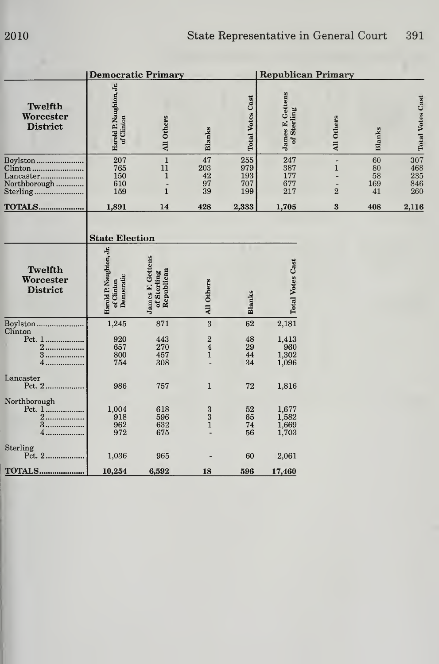|                                                  | <b>Democratic Primary</b>                           |                                                               |                                                   | <b>Republican Primary</b>       |                                        |                                |                             |                                 |
|--------------------------------------------------|-----------------------------------------------------|---------------------------------------------------------------|---------------------------------------------------|---------------------------------|----------------------------------------|--------------------------------|-----------------------------|---------------------------------|
| Twelfth<br>Worcester<br><b>District</b>          | Harold P. Naughton, Jr.<br>of Clinton               | All Others                                                    | <b>Blanks</b>                                     | <b>Total Votes Cast</b>         | <b>James F. Gettens</b><br>of Sterling | All Others                     | Blanks                      | <b>Total Votes Cast</b>         |
| Boylston<br>Clinton<br>Lancaster<br>Northborough | 207<br>765<br>150<br>610<br>159                     | $1\,$<br>11<br>$\mathbf{1}$<br>$\overline{a}$<br>$\mathbf{1}$ | 47<br>203<br>42<br>97<br>39                       | 255<br>979<br>193<br>707<br>199 | 247<br>387<br>177<br>677<br>217        | $\mathbf{1}$<br>$\overline{2}$ | 60<br>80<br>58<br>169<br>41 | 307<br>468<br>235<br>846<br>260 |
| <b>TOTALS</b>                                    | 1,891                                               | 14                                                            | 428                                               | 2,333                           | 1,705                                  | $\bf{3}$                       | 408                         | 2,116                           |
|                                                  | <b>State Election</b>                               |                                                               |                                                   |                                 |                                        |                                |                             |                                 |
| Twelfth<br>Worcester<br><b>District</b>          | Harold P. Naughton, Jr.<br>Democratic<br>of Clinton | James F. Gettens<br>Republican<br>of Sterling                 | All Others                                        | <b>Blanks</b>                   | <b>Total Votes Cast</b>                |                                |                             |                                 |
| Boylston<br>Clinton                              | 1,245                                               | 871                                                           | 3                                                 | 62                              | 2,181                                  |                                |                             |                                 |
| Pct. 1<br>2<br>3<br>.<br>4                       | 920<br>657<br>800<br>754                            | 443<br>270<br>457<br>308                                      | $\boldsymbol{2}$<br>$\overline{4}$<br>$\mathbf 1$ | 48<br>29<br>44<br>34            | 1,413<br>960<br>1,302<br>1,096         |                                |                             |                                 |
| Lancaster<br>Pct. 2                              | 986                                                 | 757                                                           | $\mathbf{1}$                                      | 72                              | 1,816                                  |                                |                             |                                 |
| Northborough<br>2.<br>3<br>4.<br>Sterling        | 1,004<br>918<br>962<br>972                          | 618<br>596<br>632<br>675                                      | $\frac{3}{3}$<br>$\mathbf 1$                      | 52<br>65<br>74<br>56            | 1,677<br>1,582<br>1,669<br>1,703       |                                |                             |                                 |
|                                                  | 1,036                                               | 965                                                           |                                                   | 60                              | 2,061                                  |                                |                             |                                 |
| <b>TOTALS</b>                                    | 10,254                                              | 6,592                                                         | 18                                                | 596                             | 17,460                                 |                                |                             |                                 |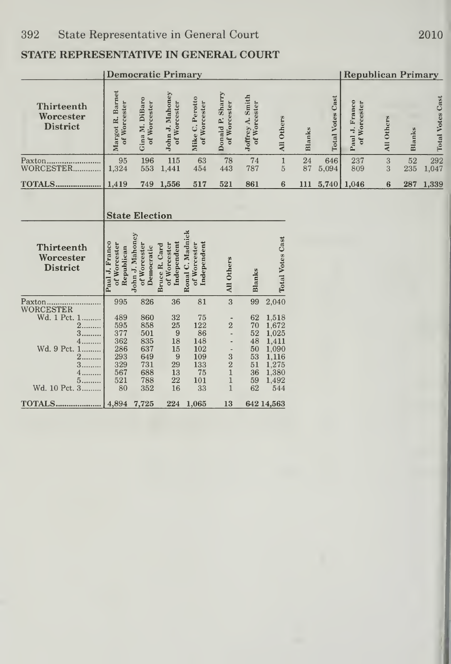|                                                                                                   |                                                                   | <b>Democratic Primary</b>                                          |                                                        |                                                                |                                                                                   |                                                          |                                                                                      | <b>Republican Primary</b> |                         |                                |            |           |                         |
|---------------------------------------------------------------------------------------------------|-------------------------------------------------------------------|--------------------------------------------------------------------|--------------------------------------------------------|----------------------------------------------------------------|-----------------------------------------------------------------------------------|----------------------------------------------------------|--------------------------------------------------------------------------------------|---------------------------|-------------------------|--------------------------------|------------|-----------|-------------------------|
| <b>Thirteenth</b><br>Worcester<br><b>District</b>                                                 | Margot R. Barnet<br>of Worcester                                  | Gina M. DiBaro<br>of Worcester                                     | John J. Mahoney<br>of Worcester                        | Mike C. Perotto<br>of Worcester                                | Donald P. Sharry<br>of Worcester                                                  | Joffrey A. Smith<br>of Worcester                         | All Others                                                                           | Blanks                    | <b>Total Votes Cast</b> | Paul J. Franco<br>of Worcester | All Others | Blanks    | <b>Total Votes Cast</b> |
| Paxton<br>WORCESTER.                                                                              | 95<br>1,324                                                       | 196<br>553                                                         | 115<br>1,441                                           | 63<br>454                                                      | 78<br>443                                                                         | 74<br>787                                                | $\mathbbm{1}$<br>$\overline{5}$                                                      | 24<br>87                  | 646<br>5,094            | 237<br>809                     | 3<br>3     | 52<br>235 | 292<br>1,047            |
| TOTALS                                                                                            | 1,419                                                             | 749                                                                | 1,556                                                  | 517                                                            | 521                                                                               | 861                                                      | $6\phantom{1}6$                                                                      | 111                       | 5,740                   | 1,046                          | 6          | 287       | 1,339                   |
|                                                                                                   |                                                                   | <b>State Election</b>                                              |                                                        |                                                                |                                                                                   |                                                          |                                                                                      |                           |                         |                                |            |           |                         |
| Thirteenth<br>Worcester<br><b>District</b>                                                        | Paul J. Franco<br>of Worcester<br>Republican                      | John J. Mahoney<br>of Worcester<br>Democratic                      | Independent<br>of Worcester<br>Bruce R. Card           | Ronal C. Madnick<br>Independent<br>of Worcester                | All Others                                                                        | Blanks                                                   | <b>Total Votes Cast</b>                                                              |                           |                         |                                |            |           |                         |
| Paxton                                                                                            | 995                                                               | 826                                                                | 36                                                     | 81                                                             | 3                                                                                 | 99                                                       | 2,040                                                                                |                           |                         |                                |            |           |                         |
| WORCESTER<br>Wd. 1 Pct. 1<br>2<br>3<br>4.<br>Wd. 9 Pct. 1<br>$2$<br>3.<br>4<br>5<br>Wd. 10 Pct. 3 | 489<br>595<br>377<br>362<br>286<br>293<br>329<br>567<br>521<br>80 | 860<br>858<br>501<br>835<br>637<br>649<br>731<br>688<br>788<br>352 | 32<br>25<br>9<br>18<br>15<br>9<br>29<br>13<br>22<br>16 | 75<br>122<br>86<br>148<br>102<br>109<br>133<br>75<br>101<br>33 | $\overline{2}$<br>$\overline{a}$<br>$\frac{3}{2}$<br>$\mathbf{1}$<br>$\mathbf{1}$ | 62<br>70<br>52<br>48<br>50<br>53<br>51<br>36<br>59<br>62 | 1,518<br>1,672<br>1,025<br>1,411<br>1,090<br>1,116<br>1,275<br>1,380<br>1,492<br>544 |                           |                         |                                |            |           |                         |
| <b>TOTALS</b>                                                                                     | 4,894                                                             | 7,725                                                              | 224                                                    | 1,065                                                          | 13                                                                                |                                                          | 642 14,563                                                                           |                           |                         |                                |            |           |                         |

2010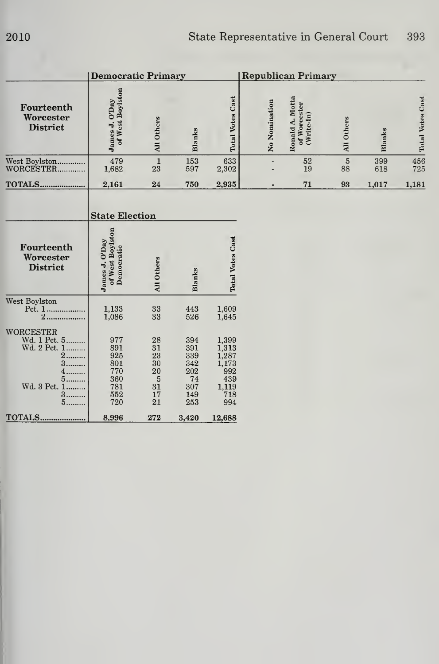|                                                                                               | Democratic Primary                                          |                                                   |                                                            |                                                                           | <b>Republican Primary</b> |                                              |               |            |                         |
|-----------------------------------------------------------------------------------------------|-------------------------------------------------------------|---------------------------------------------------|------------------------------------------------------------|---------------------------------------------------------------------------|---------------------------|----------------------------------------------|---------------|------------|-------------------------|
| Fourteenth<br>Worcester<br><b>District</b>                                                    | of West Boylston<br>James J. O'Day                          | All Others                                        | Blanks                                                     | <b>Total Votes Cast</b>                                                   | No Nomination             | Ronald A. Motta<br>of Worcester<br>(WriteIn) | All Others    | Blanks     | <b>Total Votes Cast</b> |
| West Boylston<br>WORCESTER                                                                    | 479<br>1,682                                                | $\mathbf 1$<br>23                                 | 153<br>597                                                 | 633<br>2,302                                                              |                           | 52<br>19                                     | $\bf 5$<br>88 | 399<br>618 | 456<br>725              |
| <b>TOTALS</b>                                                                                 | 2,161                                                       | 24                                                | 750                                                        | 2,935                                                                     |                           | 71                                           | 93            | 1,017      | 1,181                   |
|                                                                                               | <b>State Election</b>                                       |                                                   |                                                            |                                                                           |                           |                                              |               |            |                         |
| Fourteenth<br>Worcester<br><b>District</b>                                                    | of West Boylston<br>James J. O'Day<br>Democratic            | All Others                                        | Blanks                                                     | <b>Total Votes Cast</b>                                                   |                           |                                              |               |            |                         |
| West Boylston<br>Pct. 1<br>$2$                                                                | 1,133<br>1,086                                              | 33<br>33                                          | 443<br>526                                                 | 1,609<br>1,645                                                            |                           |                                              |               |            |                         |
| <b>WORCESTER</b><br>Wd. 1 Pct. 5<br>Wd. 2 Pct. 1<br>$2$<br>3<br>5<br>Wd. 3 Pct. 1<br>$3$<br>5 | 977<br>891<br>925<br>801<br>770<br>360<br>781<br>552<br>720 | 28<br>31<br>23<br>30<br>20<br>5<br>31<br>17<br>21 | 394<br>391<br>339<br>342<br>202<br>74<br>307<br>149<br>253 | 1,399<br>1,313<br>$1,287$<br>$1,173$<br>992<br>439<br>1,119<br>718<br>994 |                           |                                              |               |            |                         |
| <b>TOTALS</b>                                                                                 | 8,996                                                       | 272                                               | 3,420                                                      | 12,688                                                                    |                           |                                              |               |            |                         |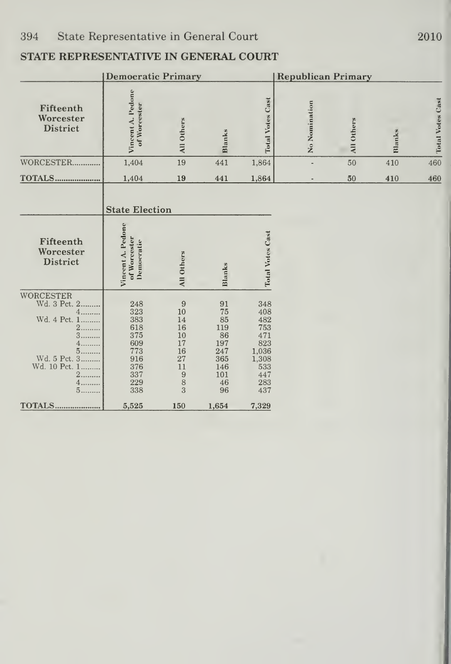|                                                                                                                                   | <b>Democratic Primary</b>                                                        |                                                                  |                                                                            |                                                                                      | <b>Republican Primary</b> |            |        |                         |  |  |  |
|-----------------------------------------------------------------------------------------------------------------------------------|----------------------------------------------------------------------------------|------------------------------------------------------------------|----------------------------------------------------------------------------|--------------------------------------------------------------------------------------|---------------------------|------------|--------|-------------------------|--|--|--|
| Fifteenth<br>Worcester<br><b>District</b>                                                                                         | Vincent A. Pedone<br>of Woreester                                                | All Others                                                       | Blanks                                                                     | <b>Total Votes Cast</b>                                                              | No Nomination             | All Others | Blanks | <b>Total Votes Cast</b> |  |  |  |
| WORCESTER                                                                                                                         | 1,404                                                                            | 19                                                               | 441                                                                        | 1,864                                                                                | ÷,                        | 50         | 410    | 460                     |  |  |  |
| <b>TOTALS</b>                                                                                                                     | 1,404                                                                            | 19                                                               | 441                                                                        | 1,864                                                                                | $\overline{a}$            | 50         | 410    | 460                     |  |  |  |
| Fifteenth<br>Worcester<br><b>District</b>                                                                                         | <b>State Election</b><br>Vincent A. Pedone<br>of Worcester<br><b>Democratic</b>  | All Others                                                       | Blanks                                                                     | <b>Total Votes Cast</b>                                                              |                           |            |        |                         |  |  |  |
|                                                                                                                                   |                                                                                  |                                                                  |                                                                            |                                                                                      |                           |            |        |                         |  |  |  |
| WORCESTER<br>Wd. 3 Pct. 2<br>4<br>Wd. 4 Pct. 1<br>$\overline{2}$<br>3.<br>4.<br>5<br>Wd. 5 Pct. 3<br>Wd. 10 Pct. 1<br>2<br>4<br>5 | 248<br>323<br>383<br>618<br>375<br>609<br>773<br>916<br>376<br>337<br>229<br>338 | 9<br>10<br>14<br>16<br>10<br>17<br>16<br>27<br>11<br>9<br>8<br>3 | 91<br>75<br>85<br>119<br>86<br>197<br>247<br>365<br>146<br>101<br>46<br>96 | 348<br>408<br>482<br>753<br>471<br>823<br>1,036<br>1,308<br>533<br>447<br>283<br>437 |                           |            |        |                         |  |  |  |
| TOTALS                                                                                                                            | 5,525                                                                            | 150                                                              | 1,654                                                                      | 7,329                                                                                |                           |            |        |                         |  |  |  |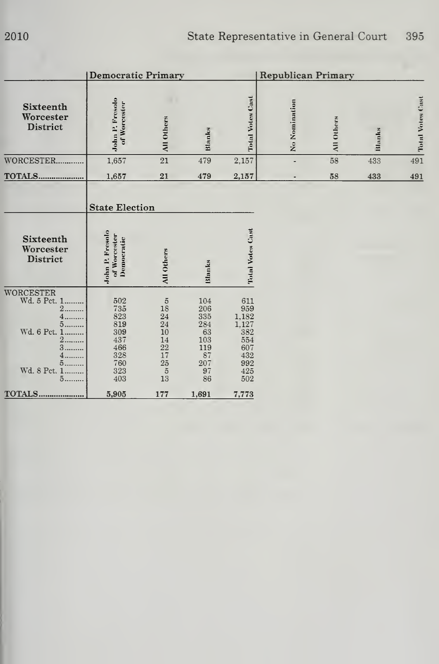|                                                                                                                       | <b>Democratic Primary</b>                                                                                                  |                                                                                                                                          |                                                                       |                                                                               | <b>Republican Primary</b> |            |        |                         |
|-----------------------------------------------------------------------------------------------------------------------|----------------------------------------------------------------------------------------------------------------------------|------------------------------------------------------------------------------------------------------------------------------------------|-----------------------------------------------------------------------|-------------------------------------------------------------------------------|---------------------------|------------|--------|-------------------------|
| Sixteenth<br>Worcester<br>District                                                                                    | John P. Fresolo<br>of Worcester                                                                                            | All Others                                                                                                                               | Blanks                                                                | <b>Total Votes Cast</b>                                                       | No Nomination             | All Others | Blanks | <b>Total Votes Cast</b> |
| WORCESTER                                                                                                             | 1,657                                                                                                                      | 21                                                                                                                                       | 479                                                                   | 2,157                                                                         |                           | 58         | 433    | 491                     |
| <b>TOTALS</b>                                                                                                         | 1,657                                                                                                                      | 21                                                                                                                                       | 479                                                                   | 2,157                                                                         |                           | 58         | 433    | 491                     |
| Sixteenth<br>Worcester<br>District                                                                                    | <b>State Election</b><br>John P. Fresolo<br>of Worcester<br>Democratic                                                     | All Others                                                                                                                               | Blanks                                                                | <b>Total Votes Cast</b>                                                       |                           |            |        |                         |
| WORCESTER<br>Wd. 5 Pct. 1<br>$\overline{2}$<br>5<br>Wd. 6 Pct. 1<br>2<br>3<br>5<br>Wd. 8 Pct. 1<br>5<br><b>TOTALS</b> | $\begin{array}{c} \mathbf{502} \\ \mathbf{735} \end{array}$<br>823<br>819<br>309<br>437<br>466<br>328<br>760<br>323<br>403 | $\begin{array}{c} 5 \\ 18 \end{array}$<br>$\bf{24}$<br>24<br>10<br>14<br>$\frac{22}{17}$<br>25<br>$\begin{array}{c} 5 \\ 13 \end{array}$ | 104<br>206<br>335<br>284<br>63<br>103<br>119<br>87<br>207<br>97<br>86 | 611<br>959<br>1,182<br>1.127<br>382<br>554<br>607<br>432<br>992<br>425<br>502 |                           |            |        |                         |
|                                                                                                                       | 5,905                                                                                                                      | 177                                                                                                                                      | 1,691                                                                 | 7,773                                                                         |                           |            |        |                         |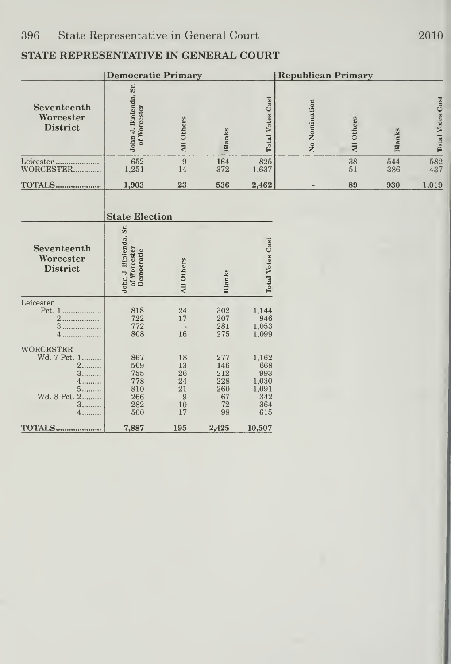|                                                                                                    |                                                      | <b>Republican Primary</b>                   |                                                   |                                                            |               |            |            |                         |
|----------------------------------------------------------------------------------------------------|------------------------------------------------------|---------------------------------------------|---------------------------------------------------|------------------------------------------------------------|---------------|------------|------------|-------------------------|
| Seventeenth<br>Worcester<br><b>District</b>                                                        | John J. Binienda, Sr.<br>of Worcester                | All Others                                  | Blanks                                            | <b>Total Votes Cast</b>                                    | No Nomination | All Others | Blanks     | <b>Total Votes Cast</b> |
| Leicester<br>WORCESTER                                                                             | 652<br>1,251                                         | $\boldsymbol{9}$<br>14                      | 164<br>372                                        | 825<br>1,637                                               |               | 38<br>51   | 544<br>386 | 582<br>437              |
| <b>TOTALS</b>                                                                                      | 1,903                                                | 23                                          | 536                                               | 2,462                                                      |               | 89         | 930        | 1,019                   |
| Seventeenth<br>Worcester                                                                           | <b>State Election</b>                                |                                             |                                                   |                                                            |               |            |            |                         |
| <b>District</b>                                                                                    | John J. Binienda, Sr.<br>of Worcester<br>Democratic  | All Others                                  | <b>Blanks</b>                                     | <b>Total Votes Cast</b>                                    |               |            |            |                         |
| Leicester<br>Pct. 1<br>$\overline{2}$<br>3<br>4.                                                   | 818<br>722<br>772<br>808                             | 24<br>17<br>16                              | 302<br>207<br>281<br>275                          | 1,144<br>946<br>1,053<br>1,099                             |               |            |            |                         |
| <b>WORCESTER</b><br>Wd. 7 Pct. 1<br>$2$<br>3.<br>4<br>5<br>Wd. 8 Pct.<br>$\mathbf{2}$<br>$3$<br>4. | 867<br>509<br>755<br>778<br>810<br>266<br>282<br>500 | 18<br>13<br>26<br>24<br>21<br>9<br>10<br>17 | 277<br>146<br>212<br>228<br>260<br>67<br>72<br>98 | 1,162<br>668<br>993<br>1,030<br>1,091<br>342<br>364<br>615 |               |            |            |                         |
| <b>TOTALS</b>                                                                                      | 7,887                                                | 195                                         | 2,425                                             | 10,507                                                     |               |            |            |                         |

2010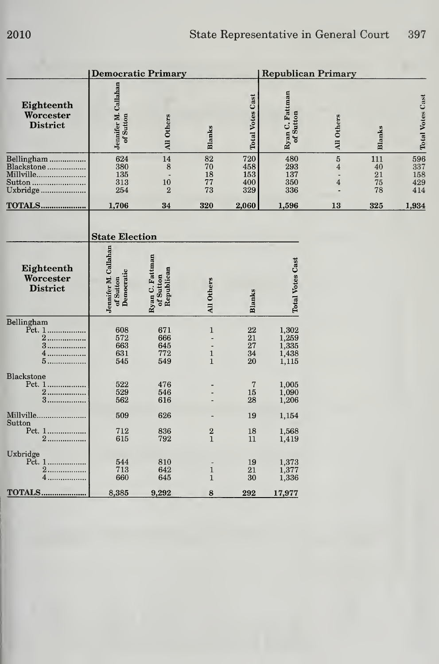|                                                             | <b>Democratic Primary</b>                       |                                            |                                             |                                 | <b>Republican Primary</b>                 |                                       |                             |                                 |
|-------------------------------------------------------------|-------------------------------------------------|--------------------------------------------|---------------------------------------------|---------------------------------|-------------------------------------------|---------------------------------------|-----------------------------|---------------------------------|
| Eighteenth<br>Worcester<br><b>District</b>                  | Jennifer M. Callahan<br>of Sutton               | All Others                                 | <b>Blanks</b>                               | <b>Total Votes Cast</b>         | Ryan C. Fattman<br>of Sutton              | All Others                            | <b>Blanks</b>               | <b>Total Votes Cast</b>         |
| Bellingham<br>Blackstone<br>Millville<br>Sutton<br>Uxbridge | 624<br>380<br>135<br>313<br>254                 | 14<br>8<br>10<br>$\overline{2}$            | 82<br>70<br>18<br>77<br>73                  | 720<br>458<br>153<br>400<br>329 | 480<br>293<br>137<br>350<br>336           | $\overline{5}$<br>$\overline{4}$<br>4 | 111<br>40<br>21<br>75<br>78 | 596<br>337<br>158<br>429<br>414 |
| <b>TOTALS</b>                                               | 1,706                                           | 34                                         | 320                                         | 2,060                           | 1,596                                     | 13                                    | 325                         | 1,934                           |
|                                                             | <b>State Election</b>                           |                                            |                                             |                                 |                                           |                                       |                             |                                 |
| Eighteenth<br>Worcester<br><b>District</b>                  | Jennifer M. Callahan<br>Democratic<br>of Sutton | Ryan C. Fattman<br>of Sutton<br>Republican | All Others                                  | <b>Blanks</b>                   | <b>Total Votes Cast</b>                   |                                       |                             |                                 |
| Bellingham<br>2<br>3.<br>4.<br>5.                           | 608<br>572<br>663<br>631<br>545                 | 671<br>666<br>645<br>772<br>549            | $\mathbf{1}$<br>$\mathbf 1$<br>$\mathbf{1}$ | 22<br>21<br>27<br>34<br>20      | 1,302<br>1,259<br>1,335<br>1,438<br>1,115 |                                       |                             |                                 |
| <b>Blackstone</b><br>2<br>$3$                               | 522<br>529<br>562                               | 476<br>546<br>616                          |                                             | 7<br>15<br>28                   | 1,005<br>1,090<br>1,206                   |                                       |                             |                                 |
| Millville                                                   | 509                                             | 626                                        |                                             | 19                              | 1,154                                     |                                       |                             |                                 |
| Sutton<br>Pct. 1<br>2                                       | 712<br>615                                      | 836<br>792                                 | $\overline{2}$<br>$\mathbf{1}$              | 18<br>11                        | 1,568<br>1,419                            |                                       |                             |                                 |
| Uxbridge<br>Pct. 1<br>2.<br>4.                              | 544<br>713<br>660                               | 810<br>642<br>645                          | $\mathbf 1$<br>$\mathbf{1}$                 | 19<br>21<br>30                  | 1,373<br>1,377<br>1,336                   |                                       |                             |                                 |
| <b>TOTALS</b>                                               | 8,385                                           | 9,292                                      | 8                                           | 292                             | 17,977                                    |                                       |                             |                                 |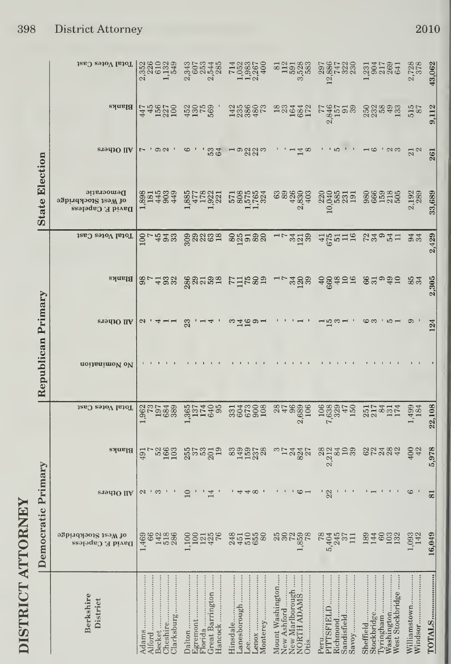| ì<br>۶<br>г<br>í<br>١<br>ł<br>j<br>þ<br>Č<br>Γ |  |
|------------------------------------------------|--|
|                                                |  |
|                                                |  |
|                                                |  |
|                                                |  |
|                                                |  |
|                                                |  |
|                                                |  |
|                                                |  |
|                                                |  |
|                                                |  |
|                                                |  |
|                                                |  |
|                                                |  |
|                                                |  |
|                                                |  |
|                                                |  |
|                                                |  |
|                                                |  |
|                                                |  |
|                                                |  |
|                                                |  |
|                                                |  |

|                       | Total Votes Cast                                     | 23802349<br>23802349<br>238023                       | 2222482<br>202222                                                                                                                                                                                                              |                                                                                                                                                                                                                                |                                                                    | 2867330                                                | 335385                                                                  | 2,728                   | 43,062                  |
|-----------------------|------------------------------------------------------|------------------------------------------------------|--------------------------------------------------------------------------------------------------------------------------------------------------------------------------------------------------------------------------------|--------------------------------------------------------------------------------------------------------------------------------------------------------------------------------------------------------------------------------|--------------------------------------------------------------------|--------------------------------------------------------|-------------------------------------------------------------------------|-------------------------|-------------------------|
|                       | Blanks                                               |                                                      | $44820$ $8920$ $8920$ $8920$ $8920$ $8920$ $8920$ $8920$ $8920$ $8920$ $8920$ $8920$ $8920$ $8920$ $8920$ $8920$ $8920$ $8920$ $8920$ $8920$ $8920$ $8920$ $8920$ $8920$ $8920$ $8920$ $8920$ $8920$ $8920$ $8920$ $8920$ $89$ | 1388855                                                                                                                                                                                                                        | 1834452                                                            | $\frac{636}{200}$                                      |                                                                         | 515                     | 9,112                   |
|                       | $\sigma$ and Ofpers                                  | $\cdot$ 0.01 $\cdot$                                 | ' ಬಿ ಸೆ<br>ಅಂ                                                                                                                                                                                                                  | $\overline{\phantom{a}}$ മറ്റുന                                                                                                                                                                                                | $4\alpha$                                                          |                                                        | $1011 - 1010$                                                           | $21$ $2$                | 261                     |
| <b>State Election</b> | Democratic<br>ogbind Aockbridge<br>David F. Capeless | 8814893                                              | 17821<br>,885<br>477                                                                                                                                                                                                           | 2325634                                                                                                                                                                                                                        | 333333<br>334334<br>334                                            |                                                        | sengga senggang                                                         | 2,192                   | 33,689                  |
|                       | Total Votes Cast                                     | $\frac{8}{4}$ 33                                     | 88888                                                                                                                                                                                                                          | 88588                                                                                                                                                                                                                          |                                                                    | LL323 AE215 52021                                      |                                                                         | 34                      | 429                     |
|                       | $\vert$ Blanks                                       | 2222                                                 |                                                                                                                                                                                                                                | gadaa rikaa                                                                                                                                                                                                                    |                                                                    | LL 238 se da 55 august                                 |                                                                         | 85<br>34                | 2,305                   |
| Primary               | <b>STOLIO</b> IIA                                    |                                                      |                                                                                                                                                                                                                                | ന ഷ മ മ പ                                                                                                                                                                                                                      |                                                                    |                                                        | $\cdot$ 10 $-$<br>ဖက                                                    |                         | 124                     |
| Republican            | noitsnimoV oV                                        |                                                      |                                                                                                                                                                                                                                |                                                                                                                                                                                                                                |                                                                    |                                                        |                                                                         |                         |                         |
|                       | Total Votes Cast                                     | <b>andar</b><br>85288                                | 851408<br>851408                                                                                                                                                                                                               |                                                                                                                                                                                                                                |                                                                    |                                                        | 3224                                                                    | 1,499<br>184            | 22,108                  |
|                       | Blanks                                               | 491                                                  |                                                                                                                                                                                                                                | .ಜಹತ್ತ ಜೆಜಜತೆವ ಜಹಪಟಚಿ ಎದಳಲ್ಲಿ ಜನತು ಜನಸಜ್ಯ<br>.ಜಹತ್ತ ಜೆಜಜತೆವ ಜಹಪಟಚ                                                                                                                                                              |                                                                    |                                                        |                                                                         | $\frac{400}{42}$        | 5,978                   |
|                       | <b>ST9410 IIA</b>                                    | $\mathbf{\Omega}$                                    |                                                                                                                                                                                                                                |                                                                                                                                                                                                                                |                                                                    |                                                        |                                                                         |                         | $\overline{\mathbf{8}}$ |
| Democratic Primary    | ogbindaboi& isoW io<br>David F. Capeless             | ,469<br>641886<br>14586                              |                                                                                                                                                                                                                                | $1.1$ $1.44$ $1.44$ $1.44$ $1.44$ $1.44$ $1.44$ $1.44$ $1.44$ $1.44$ $1.44$ $1.44$ $1.44$ $1.44$ $1.44$ $1.44$ $1.44$ $1.44$ $1.44$ $1.44$ $1.44$ $1.44$ $1.44$ $1.44$ $1.44$ $1.44$ $1.44$ $1.44$ $1.44$ $1.44$ $1.44$ $1.44$ |                                                                    |                                                        | 8346533                                                                 | $,093$<br>$142$         | 16,049                  |
|                       | Berkshire<br>District                                | Adams<br>Clarksburg<br>Cheshire.<br>Becket<br>Alford | Great Barrington<br>Florida<br>Hancock<br>Egremont<br>Dalton                                                                                                                                                                   | Lanesborough<br>Hinsdale<br>Monterey<br>Lenox<br>Lee                                                                                                                                                                           | New Marlborough<br>NORTH ADAMS<br>Mount Washington.<br>New Ashford | Sandisfield<br>PITTSFIELD<br>Richmond<br>Peru<br>Savoy | Washington<br>West Stockbridge<br>Stockbridge<br>Tyringham<br>Sheffield | Williamstown<br>Windsor | TOTALS                  |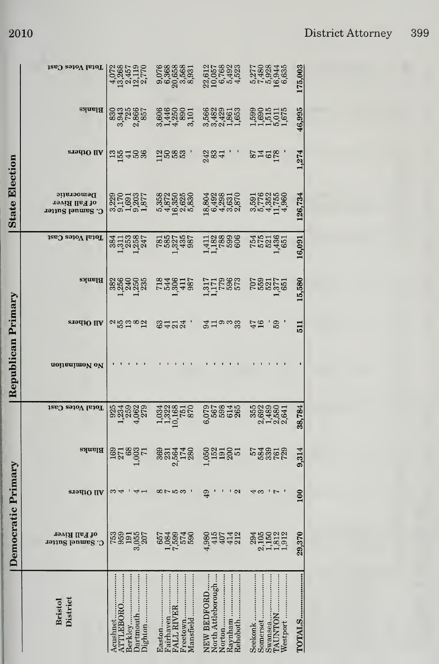|                                                                           | Democratic Primary                      |                         |                                                                        |                                    | Republican Primary |                    |                           |                           | <b>State Election</b>                           |                    |                                  |                                           |
|---------------------------------------------------------------------------|-----------------------------------------|-------------------------|------------------------------------------------------------------------|------------------------------------|--------------------|--------------------|---------------------------|---------------------------|-------------------------------------------------|--------------------|----------------------------------|-------------------------------------------|
| District<br><b>Bristol</b>                                                | of Fall River<br>C. Samuel Sutter       | <b>SIOUIO</b> IIA       | Blanks                                                                 | Total Votes Cast                   | noitsnimoV oV      | All Others         | Blanks                    | Total Votes Cast          | Democratic<br>of Fall River<br>C. Samuel Sutter | <b>STALLO IIA</b>  | Blanks                           | Total Votes Cast                          |
| Jighton<br>TTLEBORO<br>Acushnet<br>Berkley                                | 1885 1887<br>  1885 1887<br>  1890 1897 |                         | <b>ESPERE</b><br>ESPERE                                                |                                    |                    | ∾ಜಪಿದ್ದ            | 8869888                   | 8118851<br>811885         | 325325<br>225326<br>23532                       | 55458              | 3335855<br>335855<br>33685       | 4028575<br>4034757<br>4034757             |
| Aansfield<br>reetown<br>airhaven<br>ALL RIVER                             | <b>2292788</b><br>2007<br>2007          | $\infty$ rowa           | $\begin{array}{c}\n 35 \\ 35 \\ 25 \\ 36 \\ \hline\n 18\n \end{array}$ | 133855<br>138855<br>1955           |                    | 3422               | 1336422                   | <b>SSS252</b>             |                                                 | 1888.              | 86448801<br>0.448801<br>0.448801 | 0768888<br>0.088888<br>0.000888<br>0.0008 |
| Raynham<br>Jorth Attleborough<br>Rehoboth<br><b>NEW BEDFORD</b><br>Vorton | 4.9442                                  | 49<br>$\mathbf{\Omega}$ | <b>1988</b><br>2005<br>2015<br>2015                                    | 07987<br>0768845<br>0768           |                    | వ ద లా జ<br>విద్ద  | 117886<br>117886<br>11788 | 138838                    | 18,802<br>6,403<br>6,403<br>6,605<br>6,605      | $\frac{23}{284}$ . | 6823558<br>682356<br>682556      | 22,057<br>10,068<br>10,068<br>4,523       |
| Westport<br>Somerset<br>Seekonk                                           | 23150212<br>21150212<br>211502          | + ಣ                     | ದ ಹೆಜೆ ಪ್ರಕಾರ<br>ಪ್ರಕಾಶದ                                               | 3592<br>092300<br>045004<br>041002 |                    | $^{17}_{14}$<br>59 | 52252                     | <b>5523551</b><br>F523651 | no 4 H 4<br>2008<br>2008<br>2019                | 21952              | 111101                           | 01303445770<br>01400445<br>01400445       |
| <b>TOTALS</b>                                                             | 29,370                                  | 100                     | 9,314                                                                  | 38,784                             |                    | 511                | 15,580                    | 16,091                    | 126,734                                         | 1,274              | 46,995                           | 175,003                                   |